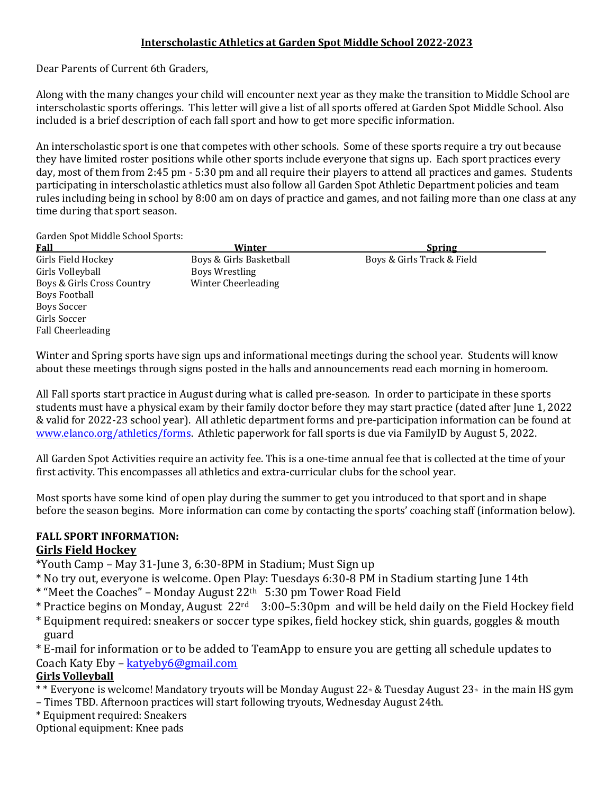#### **Interscholastic Athletics at Garden Spot Middle School 2022-2023**

Dear Parents of Current 6th Graders,

Along with the many changes your child will encounter next year as they make the transition to Middle School are interscholastic sports offerings. This letter will give a list of all sports offered at Garden Spot Middle School. Also included is a brief description of each fall sport and how to get more specific information.

An interscholastic sport is one that competes with other schools. Some of these sports require a try out because they have limited roster positions while other sports include everyone that signs up. Each sport practices every day, most of them from 2:45 pm - 5:30 pm and all require their players to attend all practices and games. Students participating in interscholastic athletics must also follow all Garden Spot Athletic Department policies and team rules including being in school by 8:00 am on days of practice and games, and not failing more than one class at any time during that sport season.

Garden Spot Middle School Sports:

| <b>Fall</b>                | Winter                  | <b>Spring</b>              |
|----------------------------|-------------------------|----------------------------|
| Girls Field Hockey         | Boys & Girls Basketball | Boys & Girls Track & Field |
| Girls Volleyball           | Boys Wrestling          |                            |
| Boys & Girls Cross Country | Winter Cheerleading     |                            |
| <b>Boys Football</b>       |                         |                            |
| Boys Soccer                |                         |                            |
| Girls Soccer               |                         |                            |
| Fall Cheerleading          |                         |                            |
|                            |                         |                            |

Winter and Spring sports have sign ups and informational meetings during the school year. Students will know about these meetings through signs posted in the halls and announcements read each morning in homeroom.

All Fall sports start practice in August during what is called pre-season. In order to participate in these sports students must have a physical exam by their family doctor before they may start practice (dated after June 1, 2022 & valid for 2022-23 school year). All athletic department forms and pre-participation information can be found at [www.elanco.org/athletics/forms.](http://www.elanco.org/athletics/forms) Athletic paperwork for fall sports is due via FamilyID by August 5, 2022.

All Garden Spot Activities require an activity fee. This is a one-time annual fee that is collected at the time of your first activity. This encompasses all athletics and extra-curricular clubs for the school year.

Most sports have some kind of open play during the summer to get you introduced to that sport and in shape before the season begins. More information can come by contacting the sports' coaching staff (information below).

# **FALL SPORT INFORMATION:**

### **Girls Field Hockey**

\*Youth Camp – May 31-June 3, 6:30-8PM in Stadium; Must Sign up

- \* No try out, everyone is welcome. Open Play: Tuesdays 6:30-8 PM in Stadium starting June 14th
- \* "Meet the Coaches" Monday August 22th 5:30 pm Tower Road Field
- \* Practice begins on Monday, August 22rd 3:00–5:30pm and will be held daily on the Field Hockey field
- \* Equipment required: sneakers or soccer type spikes, field hockey stick, shin guards, goggles & mouth guard

\* E-mail for information or to be added to TeamApp to ensure you are getting all schedule updates to Coach Katy Eby – [katyeby6@gmail.com](mailto:katyeby6@gmail.com)

## **Girls Volleyball**

- \*\* Everyone is welcome! Mandatory tryouts will be Monday August 22<sup>th</sup> & Tuesday August 23<sup>th</sup> in the main HS gym
- Times TBD. Afternoon practices will start following tryouts, Wednesday August 24th.
- \* Equipment required: Sneakers

Optional equipment: Knee pads